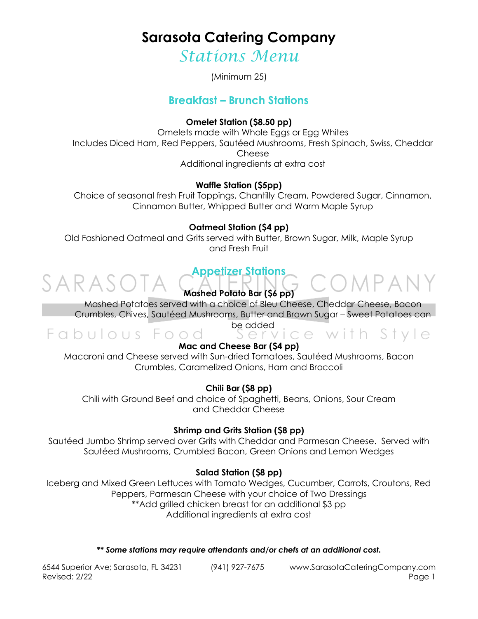## **Sarasota Catering Company**

Stations Menu

(Minimum 25)

### **Breakfast – Brunch Stations**

**Omelet Station (\$8.50 pp)** 

Omelets made with Whole Eggs or Egg Whites Includes Diced Ham, Red Peppers, Sautéed Mushrooms, Fresh Spinach, Swiss, Cheddar Cheese Additional ingredients at extra cost

#### **Waffle Station (\$5pp)**

Choice of seasonal fresh Fruit Toppings, Chantilly Cream, Powdered Sugar, Cinnamon, Cinnamon Butter, Whipped Butter and Warm Maple Syrup

#### **Oatmeal Station (\$4 pp)**

Old Fashioned Oatmeal and Grits served with Butter, Brown Sugar, Milk, Maple Syrup and Fresh Fruit



## **Appetizer Stations**

### **Mashed Potato Bar (\$6 pp)**

Mashed Potatoes served with a choice of Bleu Cheese, Cheddar Cheese, Bacon Crumbles, Chives, Sautéed Mushrooms, Butter and Brown Sugar – Sweet Potatoes can

Fabulous Food beadded<br>Fabulous Food Service with Style

**Mac and Cheese Bar (\$4 pp)**  Macaroni and Cheese served with Sun-dried Tomatoes, Sautéed Mushrooms, Bacon

Crumbles, Caramelized Onions, Ham and Broccoli

#### **Chili Bar (\$8 pp)**

Chili with Ground Beef and choice of Spaghetti, Beans, Onions, Sour Cream and Cheddar Cheese

#### **Shrimp and Grits Station (\$8 pp)**

Sautéed Jumbo Shrimp served over Grits with Cheddar and Parmesan Cheese. Served with Sautéed Mushrooms, Crumbled Bacon, Green Onions and Lemon Wedges

#### **Salad Station (\$8 pp)**

Iceberg and Mixed Green Lettuces with Tomato Wedges, Cucumber, Carrots, Croutons, Red Peppers, Parmesan Cheese with your choice of Two Dressings \*\*Add grilled chicken breast for an additional \$3 pp Additional ingredients at extra cost

*\*\* Some stations may require attendants and/or chefs at an additional cost.* 

COMPANY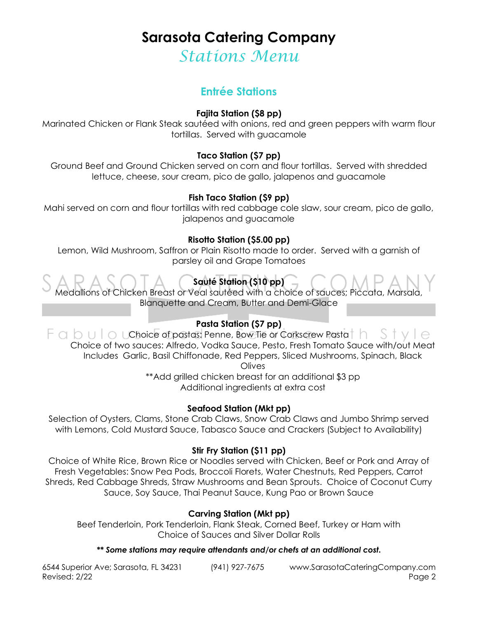## **Sarasota Catering Company**

Stations Menu

### **Entrée Stations**

#### **Fajita Station (\$8 pp)**

Marinated Chicken or Flank Steak sautéed with onions, red and green peppers with warm flour tortillas. Served with guacamole

#### **Taco Station (\$7 pp)**

Ground Beef and Ground Chicken served on corn and flour tortillas. Served with shredded lettuce, cheese, sour cream, pico de gallo, jalapenos and guacamole

#### **Fish Taco Station (\$9 pp)**

Mahi served on corn and flour tortillas with red cabbage cole slaw, sour cream, pico de gallo, jalapenos and guacamole

#### **Risotto Station (\$5.00 pp)**

Lemon, Wild Mushroom, Saffron or Plain Risotto made to order. Served with a garnish of parsley oil and Grape Tomatoes

## **Sauté Station (\$10 pp)**

Medallions of Chicken Breast or Veal sautéed with a choice of sauces; Piccata, Blanquette and Cream, Butter and Demi-Glace

#### **Pasta Station (\$7 pp)**

 $\vdash$  a b U  $\vdash$  a UChoice of pastas: Penne, Bow Tie or Corkscrew Pasta  $\vdash$  a Choice of two sauces: Alfredo, Vodka Sauce, Pesto, Fresh Tomato Sauce with/out Meat Includes Garlic, Basil Chiffonade, Red Peppers, Sliced Mushrooms, Spinach, Black **Olives** \*\*Add grilled chicken breast for an additional \$3 pp

Additional ingredients at extra cost

#### **Seafood Station (Mkt pp)**

Selection of Oysters, Clams, Stone Crab Claws, Snow Crab Claws and Jumbo Shrimp served with Lemons, Cold Mustard Sauce, Tabasco Sauce and Crackers (Subject to Availability)

#### **Stir Fry Station (\$11 pp)**

Choice of White Rice, Brown Rice or Noodles served with Chicken, Beef or Pork and Array of Fresh Vegetables: Snow Pea Pods, Broccoli Florets, Water Chestnuts, Red Peppers, Carrot Shreds, Red Cabbage Shreds, Straw Mushrooms and Bean Sprouts. Choice of Coconut Curry Sauce, Soy Sauce, Thai Peanut Sauce, Kung Pao or Brown Sauce

#### **Carving Station (Mkt pp)**

Beef Tenderloin, Pork Tenderloin, Flank Steak, Corned Beef, Turkey or Ham with Choice of Sauces and Silver Dollar Rolls

*\*\* Some stations may require attendants and/or chefs at an additional cost.* 

| 6544 Superior Ave; Sarasota, FL 34231 | (941) 927-7675 | www.SarasotaCateringCompany.com |
|---------------------------------------|----------------|---------------------------------|
| Revised: 2/22                         |                | Page 2                          |